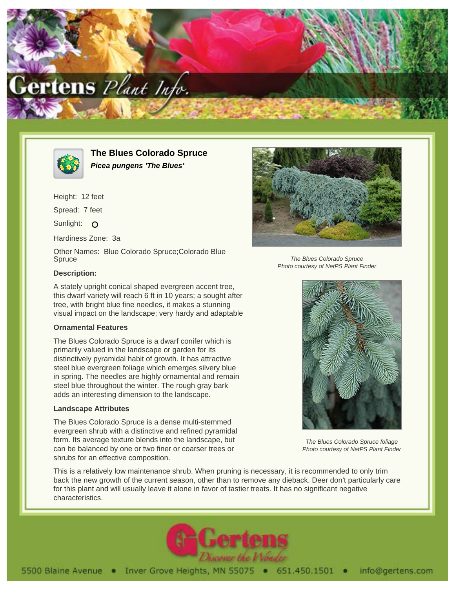



**The Blues Colorado Spruce Picea pungens 'The Blues'**

Height: 12 feet Spread: 7 feet Sunlight: O Hardiness Zone: 3a

Other Names: Blue Colorado Spruce;Colorado Blue **Spruce** 

## **Description:**

A stately upright conical shaped evergreen accent tree, this dwarf variety will reach 6 ft in 10 years; a sought after tree, with bright blue fine needles, it makes a stunning visual impact on the landscape; very hardy and adaptable

## **Ornamental Features**

The Blues Colorado Spruce is a dwarf conifer which is primarily valued in the landscape or garden for its distinctively pyramidal habit of growth. It has attractive steel blue evergreen foliage which emerges silvery blue in spring. The needles are highly ornamental and remain steel blue throughout the winter. The rough gray bark adds an interesting dimension to the landscape.

## **Landscape Attributes**

The Blues Colorado Spruce is a dense multi-stemmed evergreen shrub with a distinctive and refined pyramidal form. Its average texture blends into the landscape, but can be balanced by one or two finer or coarser trees or shrubs for an effective composition.

This is a relatively low maintenance shrub. When pruning is necessary, it is recommended to only trim back the new growth of the current season, other than to remove any dieback. Deer don't particularly care for this plant and will usually leave it alone in favor of tastier treats. It has no significant negative characteristics.





The Blues Colorado Spruce Photo courtesy of NetPS Plant Finder



The Blues Colorado Spruce foliage Photo courtesy of NetPS Plant Finder